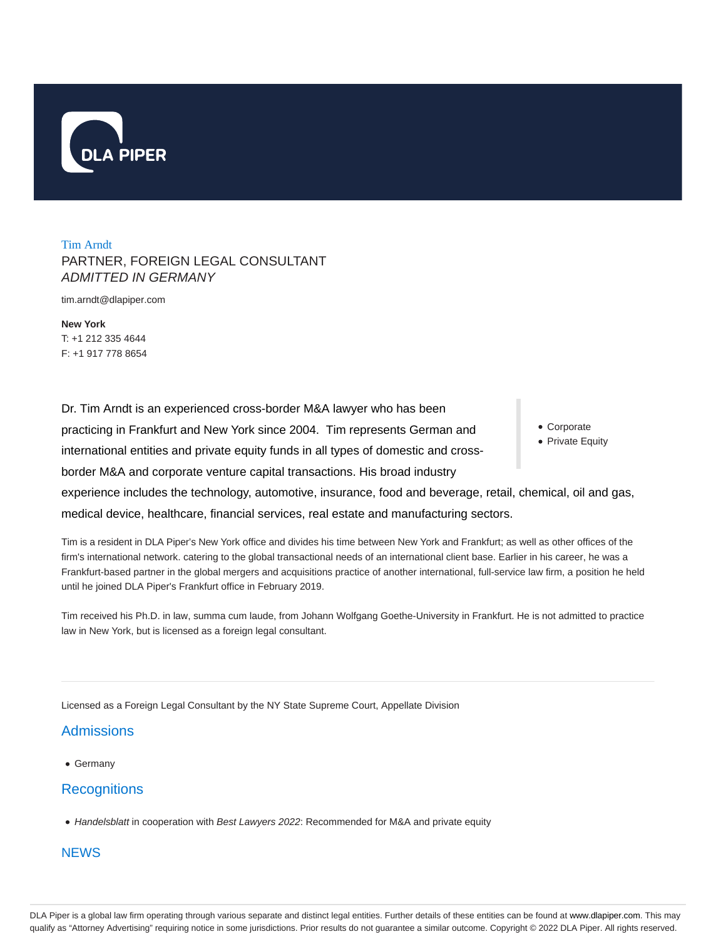

### Tim Arndt PARTNER, FOREIGN LEGAL CONSULTANT ADMITTED IN GERMANY

tim.arndt@dlapiper.com

**New York** T: +1 212 335 4644 F: +1 917 778 8654

Dr. Tim Arndt is an experienced cross-border M&A lawyer who has been practicing in Frankfurt and New York since 2004. Tim represents German and international entities and private equity funds in all types of domestic and crossborder M&A and corporate venture capital transactions. His broad industry experience includes the technology, automotive, insurance, food and beverage, retail, chemical, oil and gas, medical device, healthcare, financial services, real estate and manufacturing sectors.

Tim is a resident in DLA Piper's New York office and divides his time between New York and Frankfurt; as well as other offices of the firm's international network, catering to the global transactional needs of an international client base. Earlier in his career, he was a Frankfurt-based partner in the global mergers and acquisitions practice of another international, full-service law firm, a position he held until he joined DLA Piper's Frankfurt office in February 2019.

Tim received his Ph.D. in law, summa cum laude, from Johann Wolfgang Goethe-University in Frankfurt. He is not admitted to practice law in New York, but is licensed as a foreign legal consultant.

Licensed as a Foreign Legal Consultant by the NY State Supreme Court, Appellate Division

### **Admissions**

Germany

# **Recognitions**

• Handelsblatt in cooperation with Best Lawyers 2022: Recommended for M&A and private equity

# **NEWS**

- Corporate
- Private Equity